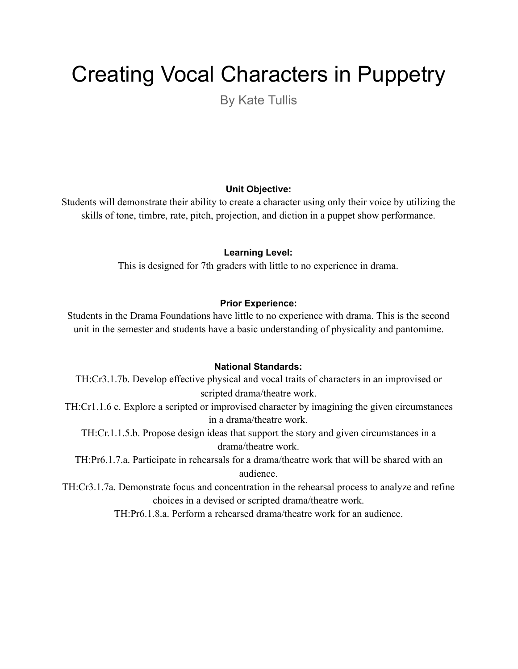# Creating Vocal Characters in Puppetry

By Kate Tullis

#### **Unit Objective:**

Students will demonstrate their ability to create a character using only their voice by utilizing the skills of tone, timbre, rate, pitch, projection, and diction in a puppet show performance.

#### **Learning Level:**

This is designed for 7th graders with little to no experience in drama.

#### **Prior Experience:**

Students in the Drama Foundations have little to no experience with drama. This is the second unit in the semester and students have a basic understanding of physicality and pantomime.

#### **National Standards:**

TH:Cr3.1.7b. Develop effective physical and vocal traits of characters in an improvised or scripted drama/theatre work. TH:Cr1.1.6 c. Explore a scripted or improvised character by imagining the given circumstances in a drama/theatre work.

TH:Cr.1.1.5.b. Propose design ideas that support the story and given circumstances in a drama/theatre work.

TH:Pr6.1.7.a. Participate in rehearsals for a drama/theatre work that will be shared with an audience.

TH:Cr3.1.7a. Demonstrate focus and concentration in the rehearsal process to analyze and refine choices in a devised or scripted drama/theatre work.

TH:Pr6.1.8.a. Perform a rehearsed drama/theatre work for an audience.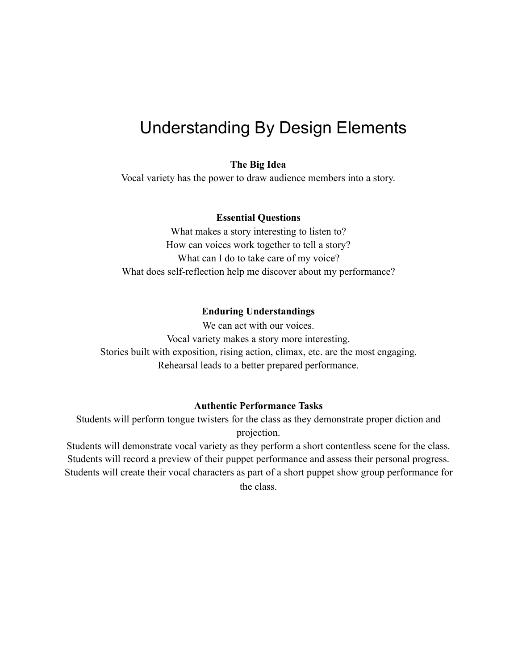## Understanding By Design Elements

#### **The Big Idea**

Vocal variety has the power to draw audience members into a story.

#### **Essential Questions**

What makes a story interesting to listen to? How can voices work together to tell a story? What can I do to take care of my voice? What does self-reflection help me discover about my performance?

#### **Enduring Understandings**

We can act with our voices. Vocal variety makes a story more interesting. Stories built with exposition, rising action, climax, etc. are the most engaging. Rehearsal leads to a better prepared performance.

#### **Authentic Performance Tasks**

Students will perform tongue twisters for the class as they demonstrate proper diction and projection.

Students will demonstrate vocal variety as they perform a short contentless scene for the class. Students will record a preview of their puppet performance and assess their personal progress. Students will create their vocal characters as part of a short puppet show group performance for the class.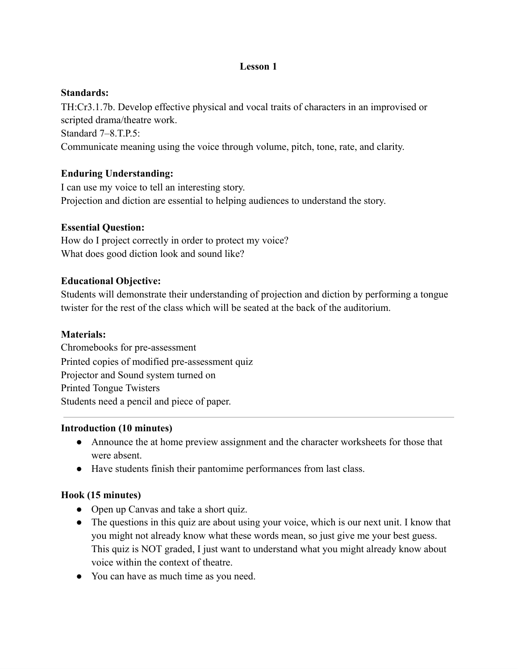## **Standards:**

TH:Cr3.1.7b. Develop effective physical and vocal traits of characters in an improvised or scripted drama/theatre work. Standard 7–8.T.P.5: Communicate meaning using the voice through volume, pitch, tone, rate, and clarity.

## **Enduring Understanding:**

I can use my voice to tell an interesting story. Projection and diction are essential to helping audiences to understand the story.

## **Essential Question:**

How do I project correctly in order to protect my voice? What does good diction look and sound like?

## **Educational Objective:**

Students will demonstrate their understanding of projection and diction by performing a tongue twister for the rest of the class which will be seated at the back of the auditorium.

## **Materials:**

Chromebooks for pre-assessment Printed copies of modified pre-assessment quiz Projector and Sound system turned on Printed Tongue Twisters Students need a pencil and piece of paper.

#### **Introduction (10 minutes)**

- Announce the at home preview assignment and the character worksheets for those that were absent.
- Have students finish their pantomime performances from last class.

## **Hook (15 minutes)**

- Open up Canvas and take a short quiz.
- The questions in this quiz are about using your voice, which is our next unit. I know that you might not already know what these words mean, so just give me your best guess. This quiz is NOT graded, I just want to understand what you might already know about voice within the context of theatre.
- You can have as much time as you need.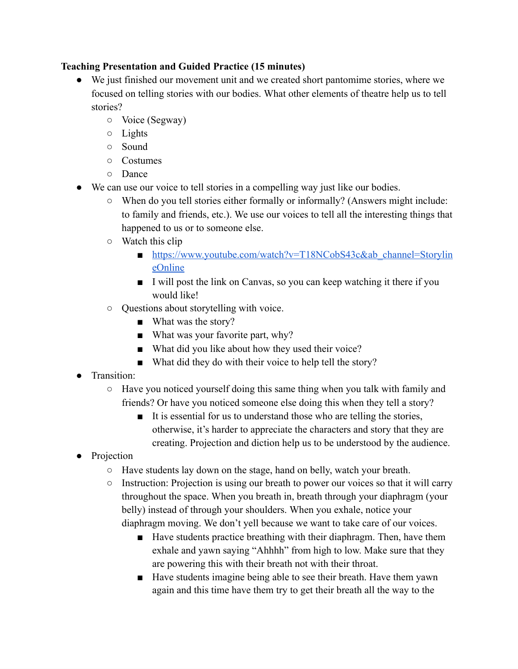## **Teaching Presentation and Guided Practice (15 minutes)**

- We just finished our movement unit and we created short pantomime stories, where we focused on telling stories with our bodies. What other elements of theatre help us to tell stories?
	- Voice (Segway)
	- Lights
	- Sound
	- Costumes
	- Dance
- We can use our voice to tell stories in a compelling way just like our bodies.
	- When do you tell stories either formally or informally? (Answers might include: to family and friends, etc.). We use our voices to tell all the interesting things that happened to us or to someone else.
	- $\circ$  Watch this clip
		- https://www.youtube.com/watch?v=T18NCobS43c&ab\_channel=Storylin eOnline
		- I will post the link on Canvas, so you can keep watching it there if you would like!
	- Questions about storytelling with voice.
		- What was the story?
		- What was your favorite part, why?
		- What did you like about how they used their voice?
		- What did they do with their voice to help tell the story?
- Transition:
	- Have you noticed yourself doing this same thing when you talk with family and friends? Or have you noticed someone else doing this when they tell a story?
		- It is essential for us to understand those who are telling the stories, otherwise, it's harder to appreciate the characters and story that they are creating. Projection and diction help us to be understood by the audience.
- Projection
	- Have students lay down on the stage, hand on belly, watch your breath.
	- Instruction: Projection is using our breath to power our voices so that it will carry throughout the space. When you breath in, breath through your diaphragm (your belly) instead of through your shoulders. When you exhale, notice your diaphragm moving. We don't yell because we want to take care of our voices.
		- Have students practice breathing with their diaphragm. Then, have them exhale and yawn saying "Ahhhh" from high to low. Make sure that they are powering this with their breath not with their throat.
		- Have students imagine being able to see their breath. Have them yawn again and this time have them try to get their breath all the way to the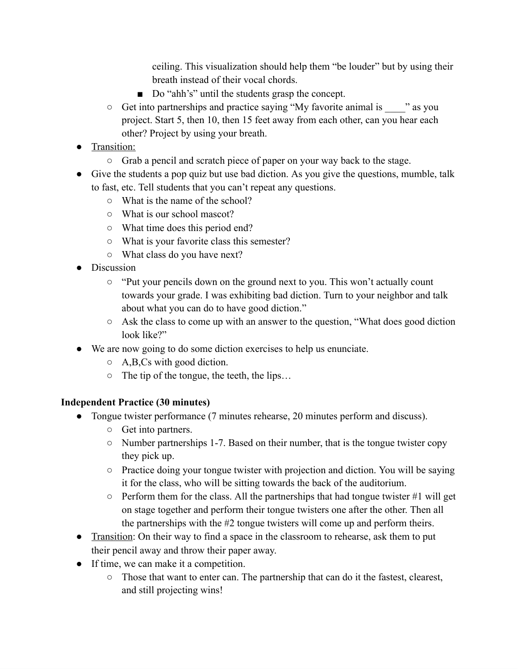ceiling. This visualization should help them "be louder" but by using their breath instead of their vocal chords.

- Do "ahh's" until the students grasp the concept.
- Get into partnerships and practice saying "My favorite animal is " as you project. Start 5, then 10, then 15 feet away from each other, can you hear each other? Project by using your breath.
- Transition:
	- Grab a pencil and scratch piece of paper on your way back to the stage.
- Give the students a pop quiz but use bad diction. As you give the questions, mumble, talk to fast, etc. Tell students that you can't repeat any questions.
	- What is the name of the school?
	- What is our school mascot?
	- What time does this period end?
	- What is your favorite class this semester?
	- What class do you have next?
- Discussion
	- "Put your pencils down on the ground next to you. This won't actually count towards your grade. I was exhibiting bad diction. Turn to your neighbor and talk about what you can do to have good diction."
	- Ask the class to come up with an answer to the question, "What does good diction look like?"
- We are now going to do some diction exercises to help us enunciate.
	- $\circ$  A,B,Cs with good diction.
	- The tip of the tongue, the teeth, the lips…

## **Independent Practice (30 minutes)**

- Tongue twister performance (7 minutes rehearse, 20 minutes perform and discuss).
	- Get into partners.
	- Number partnerships 1-7. Based on their number, that is the tongue twister copy they pick up.
	- Practice doing your tongue twister with projection and diction. You will be saying it for the class, who will be sitting towards the back of the auditorium.
	- $\circ$  Perform them for the class. All the partnerships that had tongue twister #1 will get on stage together and perform their tongue twisters one after the other. Then all the partnerships with the #2 tongue twisters will come up and perform theirs.
- Transition: On their way to find a space in the classroom to rehearse, ask them to put their pencil away and throw their paper away.
- If time, we can make it a competition.
	- Those that want to enter can. The partnership that can do it the fastest, clearest, and still projecting wins!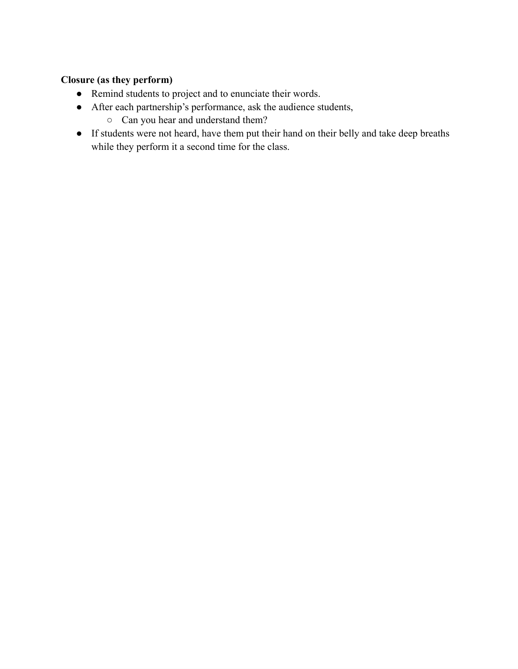## **Closure (as they perform)**

- Remind students to project and to enunciate their words.
- After each partnership's performance, ask the audience students,
	- Can you hear and understand them?
- If students were not heard, have them put their hand on their belly and take deep breaths while they perform it a second time for the class.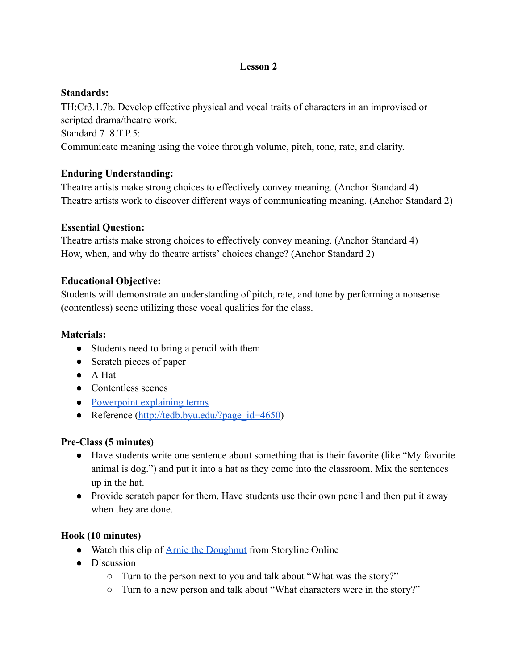## **Standards:**

TH:Cr3.1.7b. Develop effective physical and vocal traits of characters in an improvised or scripted drama/theatre work. Standard 7–8.T.P.5: Communicate meaning using the voice through volume, pitch, tone, rate, and clarity.

## **Enduring Understanding:**

Theatre artists make strong choices to effectively convey meaning. (Anchor Standard 4) Theatre artists work to discover different ways of communicating meaning. (Anchor Standard 2)

## **Essential Question:**

Theatre artists make strong choices to effectively convey meaning. (Anchor Standard 4) How, when, and why do theatre artists' choices change? (Anchor Standard 2)

## **Educational Objective:**

Students will demonstrate an understanding of pitch, rate, and tone by performing a nonsense (contentless) scene utilizing these vocal qualities for the class.

## **Materials:**

- Students need to bring a pencil with them
- Scratch pieces of paper
- A Hat
- Contentless scenes
- Powerpoint explaining terms
- Reference ( $\frac{http://tedb.byu.edu/?page_id=4650)}{$

## **Pre-Class (5 minutes)**

- Have students write one sentence about something that is their favorite (like "My favorite animal is dog.") and put it into a hat as they come into the classroom. Mix the sentences up in the hat.
- Provide scratch paper for them. Have students use their own pencil and then put it away when they are done.

## **Hook (10 minutes)**

- Watch this clip of Arnie the Doughnut from Storyline Online
- Discussion
	- Turn to the person next to you and talk about "What was the story?"
	- Turn to a new person and talk about "What characters were in the story?"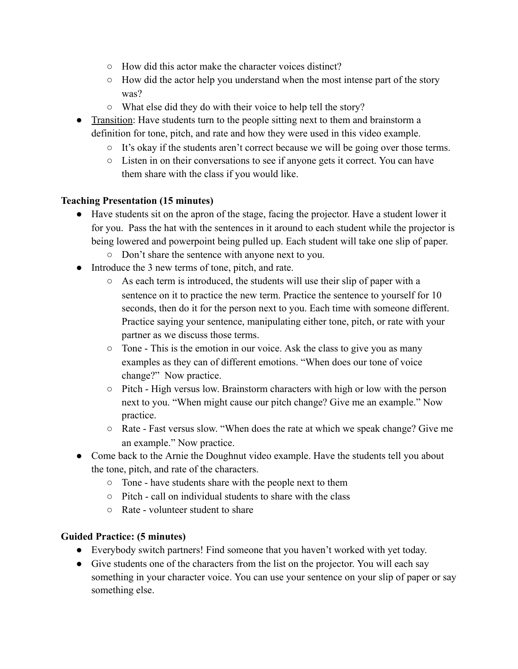- How did this actor make the character voices distinct?
- $\circ$  How did the actor help you understand when the most intense part of the story was?
- What else did they do with their voice to help tell the story?
- Transition: Have students turn to the people sitting next to them and brainstorm a definition for tone, pitch, and rate and how they were used in this video example.
	- $\circ$  It's okay if the students aren't correct because we will be going over those terms.
	- $\circ$  Listen in on their conversations to see if anyone gets it correct. You can have them share with the class if you would like.

## **Teaching Presentation (15 minutes)**

- Have students sit on the apron of the stage, facing the projector. Have a student lower it for you. Pass the hat with the sentences in it around to each student while the projector is being lowered and powerpoint being pulled up. Each student will take one slip of paper.
	- Don't share the sentence with anyone next to you.
- Introduce the 3 new terms of tone, pitch, and rate.
	- As each term is introduced, the students will use their slip of paper with a sentence on it to practice the new term. Practice the sentence to yourself for 10 seconds, then do it for the person next to you. Each time with someone different. Practice saying your sentence, manipulating either tone, pitch, or rate with your partner as we discuss those terms.
	- Tone This is the emotion in our voice. Ask the class to give you as many examples as they can of different emotions. "When does our tone of voice change?" Now practice.
	- $\circ$  Pitch High versus low. Brainstorm characters with high or low with the person next to you. "When might cause our pitch change? Give me an example." Now practice.
	- Rate Fast versus slow. "When does the rate at which we speak change? Give me an example." Now practice.
- Come back to the Arnie the Doughnut video example. Have the students tell you about the tone, pitch, and rate of the characters.
	- Tone have students share with the people next to them
	- Pitch call on individual students to share with the class
	- Rate volunteer student to share

#### **Guided Practice: (5 minutes)**

- Everybody switch partners! Find someone that you haven't worked with yet today.
- Give students one of the characters from the list on the projector. You will each say something in your character voice. You can use your sentence on your slip of paper or say something else.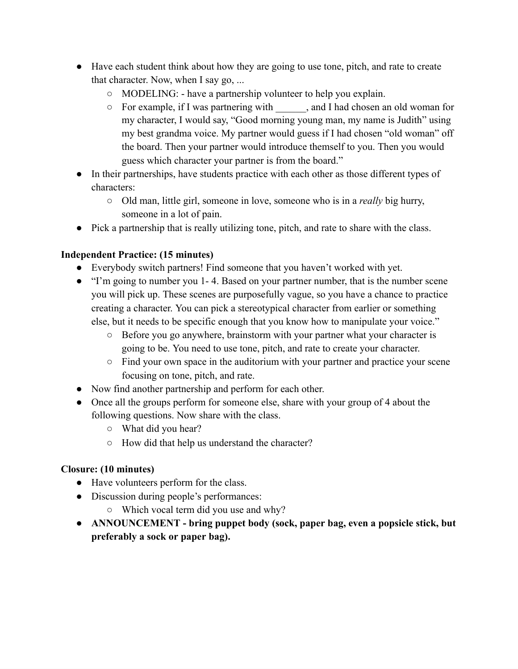- Have each student think about how they are going to use tone, pitch, and rate to create that character. Now, when I say go, ...
	- MODELING: have a partnership volunteer to help you explain.
	- For example, if I was partnering with , and I had chosen an old woman for my character, I would say, "Good morning young man, my name is Judith" using my best grandma voice. My partner would guess if I had chosen "old woman" off the board. Then your partner would introduce themself to you. Then you would guess which character your partner is from the board."
- In their partnerships, have students practice with each other as those different types of characters:
	- Old man, little girl, someone in love, someone who is in a *really* big hurry, someone in a lot of pain.
- Pick a partnership that is really utilizing tone, pitch, and rate to share with the class.

## **Independent Practice: (15 minutes)**

- Everybody switch partners! Find someone that you haven't worked with yet.
- "I'm going to number you 1- 4. Based on your partner number, that is the number scene you will pick up. These scenes are purposefully vague, so you have a chance to practice creating a character. You can pick a stereotypical character from earlier or something else, but it needs to be specific enough that you know how to manipulate your voice."
	- Before you go anywhere, brainstorm with your partner what your character is going to be. You need to use tone, pitch, and rate to create your character.
	- Find your own space in the auditorium with your partner and practice your scene focusing on tone, pitch, and rate.
- Now find another partnership and perform for each other.
- Once all the groups perform for someone else, share with your group of 4 about the following questions. Now share with the class.
	- What did you hear?
	- How did that help us understand the character?

## **Closure: (10 minutes)**

- Have volunteers perform for the class.
- Discussion during people's performances:
	- Which vocal term did you use and why?
- **● ANNOUNCEMENT bring puppet body (sock, paper bag, even a popsicle stick, but preferably a sock or paper bag).**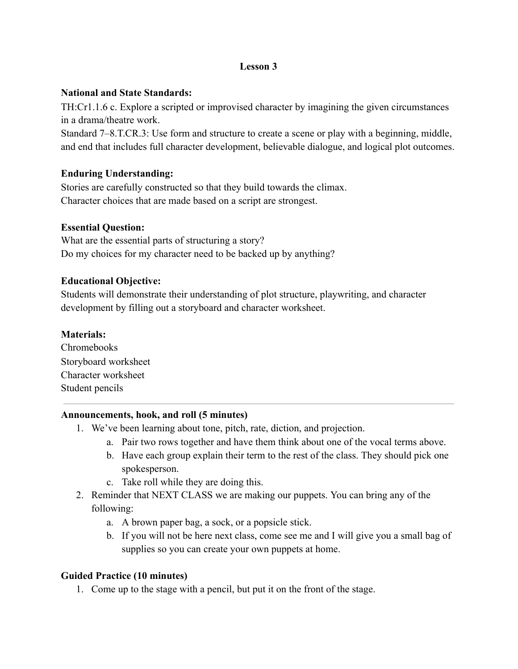## **National and State Standards:**

TH:Cr1.1.6 c. Explore a scripted or improvised character by imagining the given circumstances in a drama/theatre work.

Standard 7–8.T.CR.3: Use form and structure to create a scene or play with a beginning, middle, and end that includes full character development, believable dialogue, and logical plot outcomes.

## **Enduring Understanding:**

Stories are carefully constructed so that they build towards the climax. Character choices that are made based on a script are strongest.

## **Essential Question:**

What are the essential parts of structuring a story? Do my choices for my character need to be backed up by anything?

## **Educational Objective:**

Students will demonstrate their understanding of plot structure, playwriting, and character development by filling out a storyboard and character worksheet.

## **Materials:**

Chromebooks Storyboard worksheet Character worksheet Student pencils

## **Announcements, hook, and roll (5 minutes)**

- 1. We've been learning about tone, pitch, rate, diction, and projection.
	- a. Pair two rows together and have them think about one of the vocal terms above.
	- b. Have each group explain their term to the rest of the class. They should pick one spokesperson.
	- c. Take roll while they are doing this.
- 2. Reminder that NEXT CLASS we are making our puppets. You can bring any of the following:
	- a. A brown paper bag, a sock, or a popsicle stick.
	- b. If you will not be here next class, come see me and I will give you a small bag of supplies so you can create your own puppets at home.

## **Guided Practice (10 minutes)**

1. Come up to the stage with a pencil, but put it on the front of the stage.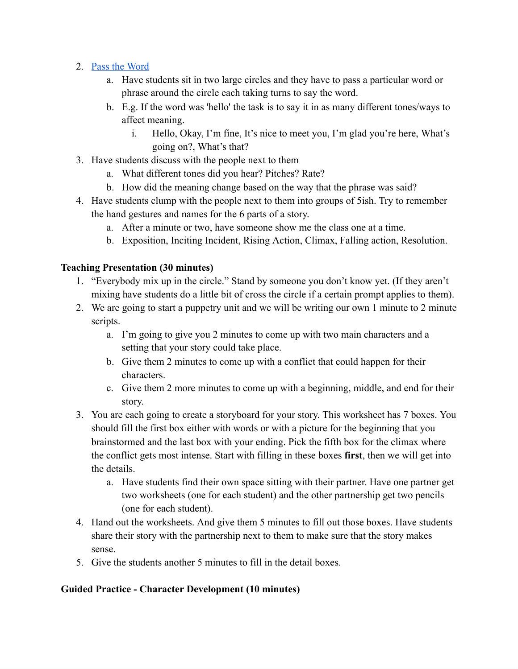- 2. Pass the Word
	- a. Have students sit in two large circles and they have to pass a particular word or phrase around the circle each taking turns to say the word.
	- b. E.g. If the word was 'hello' the task is to say it in as many different tones/ways to affect meaning.
		- i. Hello, Okay, I'm fine, It's nice to meet you, I'm glad you're here, What's going on?, What's that?
- 3. Have students discuss with the people next to them
	- a. What different tones did you hear? Pitches? Rate?
	- b. How did the meaning change based on the way that the phrase was said?
- 4. Have students clump with the people next to them into groups of 5ish. Try to remember the hand gestures and names for the 6 parts of a story.
	- a. After a minute or two, have someone show me the class one at a time.
	- b. Exposition, Inciting Incident, Rising Action, Climax, Falling action, Resolution.

#### **Teaching Presentation (30 minutes)**

- 1. "Everybody mix up in the circle." Stand by someone you don't know yet. (If they aren't mixing have students do a little bit of cross the circle if a certain prompt applies to them).
- 2. We are going to start a puppetry unit and we will be writing our own 1 minute to 2 minute scripts.
	- a. I'm going to give you 2 minutes to come up with two main characters and a setting that your story could take place.
	- b. Give them 2 minutes to come up with a conflict that could happen for their characters.
	- c. Give them 2 more minutes to come up with a beginning, middle, and end for their story.
- 3. You are each going to create a storyboard for your story. This worksheet has 7 boxes. You should fill the first box either with words or with a picture for the beginning that you brainstormed and the last box with your ending. Pick the fifth box for the climax where the conflict gets most intense. Start with filling in these boxes **first** , then we will get into the details.
	- a. Have students find their own space sitting with their partner. Have one partner get two worksheets (one for each student) and the other partnership get two pencils (one for each student).
- 4. Hand out the worksheets. And give them 5 minutes to fill out those boxes. Have students share their story with the partnership next to them to make sure that the story makes sense.
- 5. Give the students another 5 minutes to fill in the detail boxes.

#### **Guided Practice - Character Development (10 minutes)**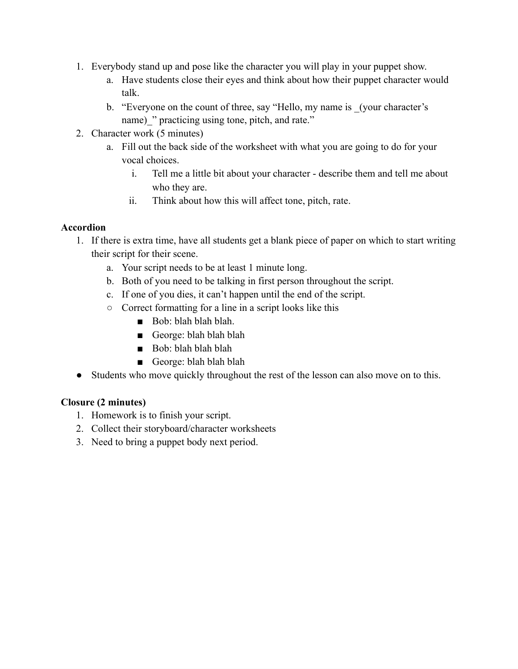- 1. Everybody stand up and pose like the character you will play in your puppet show.
	- a. Have students close their eyes and think about how their puppet character would talk.
	- b. "Everyone on the count of three, say "Hello, my name is (your character's name)\_" practicing using tone, pitch, and rate."
- 2. Character work (5 minutes)
	- a. Fill out the back side of the worksheet with what you are going to do for your vocal choices.
		- i. Tell me a little bit about your character describe them and tell me about who they are.
		- ii. Think about how this will affect tone, pitch, rate.

## **Accordion**

- 1. If there is extra time, have all students get a blank piece of paper on which to start writing their script for their scene.
	- a. Your script needs to be at least 1 minute long.
	- b. Both of you need to be talking in first person throughout the script.
	- c. If one of you dies, it can't happen until the end of the script.
	- Correct formatting for a line in a script looks like this
		- Bob: blah blah blah.
		- George: blah blah blah
		- Bob: blah blah blah
		- George: blah blah blah
- Students who move quickly throughout the rest of the lesson can also move on to this.

## **Closure (2 minutes)**

- 1. Homework is to finish your script.
- 2. Collect their storyboard/character worksheets
- 3. Need to bring a puppet body next period.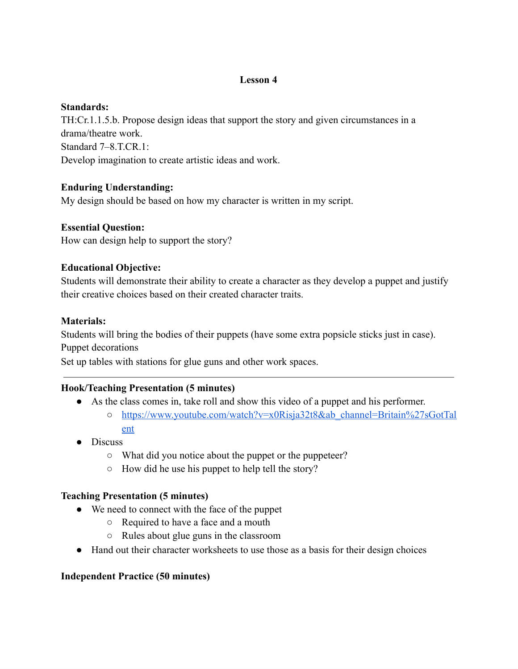#### **Standards:**

TH:Cr.1.1.5.b. Propose design ideas that support the story and given circumstances in a drama/theatre work. Standard 7–8.T.CR.1: Develop imagination to create artistic ideas and work.

## **Enduring Understanding:**

My design should be based on how my character is written in my script.

## **Essential Question:**

How can design help to support the story?

## **Educational Objective:**

Students will demonstrate their ability to create a character as they develop a puppet and justify their creative choices based on their created character traits.

#### **Materials:**

Students will bring the bodies of their puppets (have some extra popsicle sticks just in case). Puppet decorations

Set up tables with stations for glue guns and other work spaces.

## **Hook/Teaching Presentation (5 minutes)**

- As the class comes in, take roll and show this video of a puppet and his performer. ○ https://www.youtube.com/watch?v=x0Risja32t8&ab\_channel=Britain%27sGotTal ent
- Discuss
	- What did you notice about the puppet or the puppeteer?
	- How did he use his puppet to help tell the story?

#### **Teaching Presentation (5 minutes)**

- We need to connect with the face of the puppet
	- Required to have a face and a mouth
	- Rules about glue guns in the classroom
- Hand out their character worksheets to use those as a basis for their design choices

#### **Independent Practice (50 minutes)**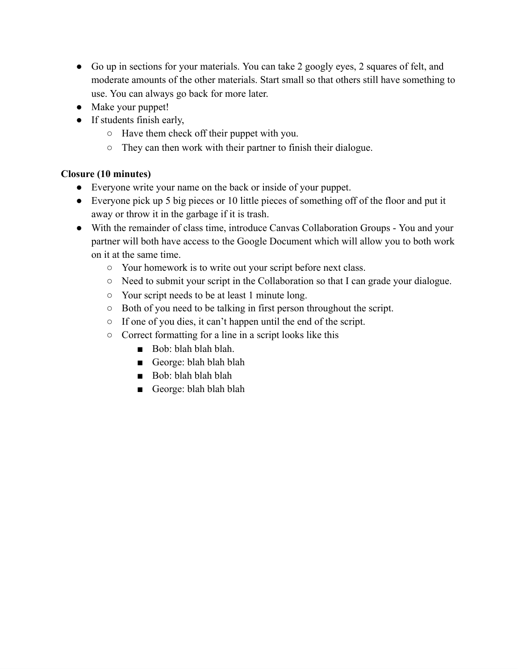- Go up in sections for your materials. You can take 2 googly eyes, 2 squares of felt, and moderate amounts of the other materials. Start small so that others still have something to use. You can always go back for more later.
- Make your puppet!
- If students finish early,
	- Have them check off their puppet with you.
	- They can then work with their partner to finish their dialogue.

#### **Closure (10 minutes)**

- Everyone write your name on the back or inside of your puppet.
- Everyone pick up 5 big pieces or 10 little pieces of something off of the floor and put it away or throw it in the garbage if it is trash.
- With the remainder of class time, introduce Canvas Collaboration Groups You and your partner will both have access to the Google Document which will allow you to both work on it at the same time.
	- Your homework is to write out your script before next class.
	- Need to submit your script in the Collaboration so that I can grade your dialogue.
	- Your script needs to be at least 1 minute long.
	- Both of you need to be talking in first person throughout the script.
	- If one of you dies, it can't happen until the end of the script.
	- Correct formatting for a line in a script looks like this
		- Bob: blah blah blah.
		- George: blah blah blah
		- Bob: blah blah blah
		- George: blah blah blah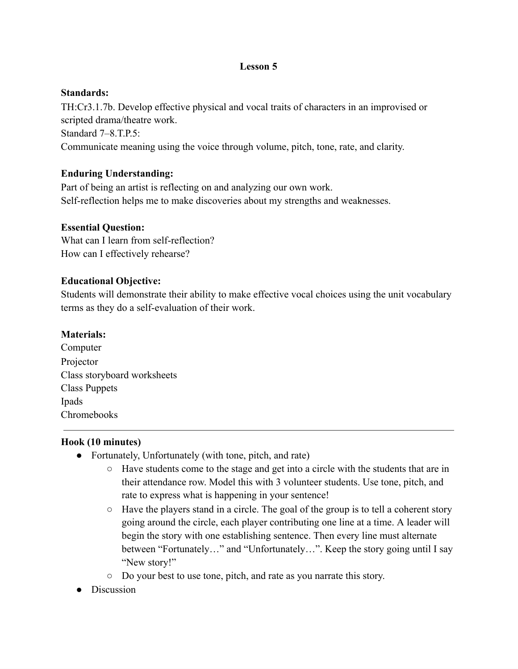#### **Standards:**

TH:Cr3.1.7b. Develop effective physical and vocal traits of characters in an improvised or scripted drama/theatre work. Standard 7–8.T.P.5: Communicate meaning using the voice through volume, pitch, tone, rate, and clarity.

## **Enduring Understanding:**

Part of being an artist is reflecting on and analyzing our own work. Self-reflection helps me to make discoveries about my strengths and weaknesses.

## **Essential Question:**

What can I learn from self-reflection? How can I effectively rehearse?

## **Educational Objective:**

Students will demonstrate their ability to make effective vocal choices using the unit vocabulary terms as they do a self-evaluation of their work.

## **Materials:**

Computer Projector Class storyboard worksheets Class Puppets Ipads Chromebooks

## **Hook (10 minutes)**

- Fortunately, Unfortunately (with tone, pitch, and rate)
	- Have students come to the stage and get into a circle with the students that are in their attendance row. Model this with 3 volunteer students. Use tone, pitch, and rate to express what is happening in your sentence!
	- $\circ$  Have the players stand in a circle. The goal of the group is to tell a coherent story going around the circle, each player contributing one line at a time. A leader will begin the story with one establishing sentence. Then every line must alternate between "Fortunately…" and "Unfortunately…". Keep the story going until I say "New story!"
	- Do your best to use tone, pitch, and rate as you narrate this story.
- **Discussion**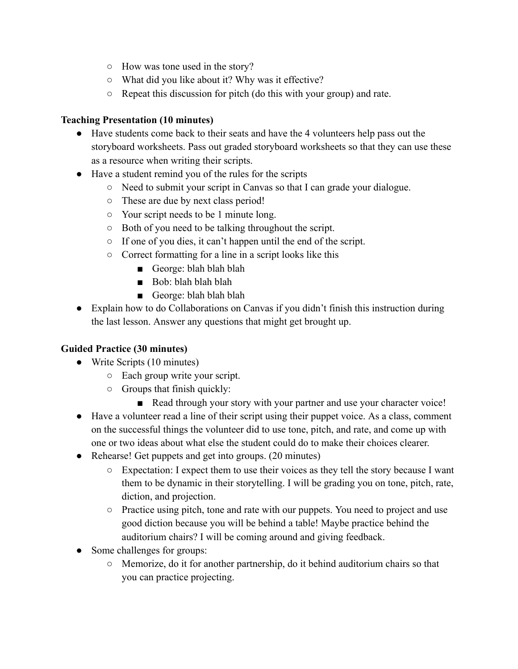- How was tone used in the story?
- What did you like about it? Why was it effective?
- Repeat this discussion for pitch (do this with your group) and rate.

## **Teaching Presentation (10 minutes)**

- Have students come back to their seats and have the 4 volunteers help pass out the storyboard worksheets. Pass out graded storyboard worksheets so that they can use these as a resource when writing their scripts.
- Have a student remind you of the rules for the scripts
	- Need to submit your script in Canvas so that I can grade your dialogue.
	- These are due by next class period!
	- Your script needs to be 1 minute long.
	- Both of you need to be talking throughout the script.
	- If one of you dies, it can't happen until the end of the script.
	- Correct formatting for a line in a script looks like this
		- George: blah blah blah
		- Bob: blah blah blah
		- George: blah blah blah
- Explain how to do Collaborations on Canvas if you didn't finish this instruction during the last lesson. Answer any questions that might get brought up.

## **Guided Practice (30 minutes)**

- Write Scripts (10 minutes)
	- Each group write your script.
	- Groups that finish quickly:
		- Read through your story with your partner and use your character voice!
- Have a volunteer read a line of their script using their puppet voice. As a class, comment on the successful things the volunteer did to use tone, pitch, and rate, and come up with one or two ideas about what else the student could do to make their choices clearer.
- Rehearse! Get puppets and get into groups. (20 minutes)
	- Expectation: I expect them to use their voices as they tell the story because I want them to be dynamic in their storytelling. I will be grading you on tone, pitch, rate, diction, and projection.
	- Practice using pitch, tone and rate with our puppets. You need to project and use good diction because you will be behind a table! Maybe practice behind the auditorium chairs? I will be coming around and giving feedback.
- Some challenges for groups:
	- Memorize, do it for another partnership, do it behind auditorium chairs so that you can practice projecting.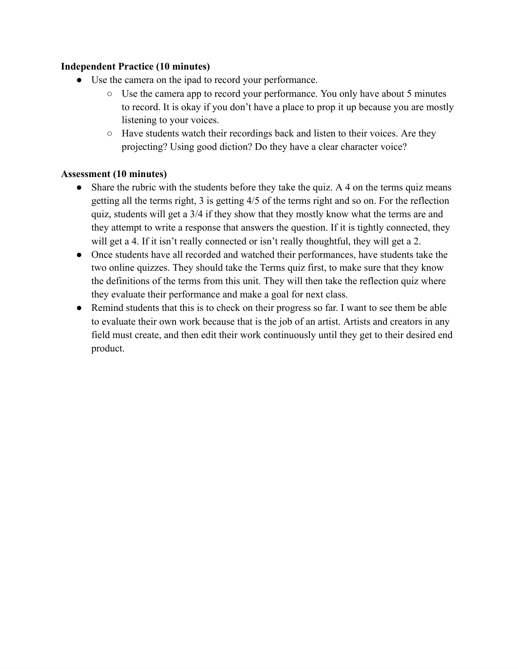#### **Independent Practice (10 minutes)**

- Use the camera on the ipad to record your performance.
	- Use the camera app to record your performance. You only have about 5 minutes to record. It is okay if you don't have a place to prop it up because you are mostly listening to your voices.
	- $\circ$  Have students watch their recordings back and listen to their voices. Are they projecting? Using good diction? Do they have a clear character voice?

## **Assessment (10 minutes)**

- Share the rubric with the students before they take the quiz. A 4 on the terms quiz means getting all the terms right, 3 is getting 4/5 of the terms right and so on. For the reflection quiz, students will get a 3/4 if they show that they mostly know what the terms are and they attempt to write a response that answers the question. If it is tightly connected, they will get a 4. If it isn't really connected or isn't really thoughtful, they will get a 2.
- Once students have all recorded and watched their performances, have students take the two online quizzes. They should take the Terms quiz first, to make sure that they know the definitions of the terms from this unit. They will then take the reflection quiz where they evaluate their performance and make a goal for next class.
- Remind students that this is to check on their progress so far. I want to see them be able to evaluate their own work because that is the job of an artist. Artists and creators in any field must create, and then edit their work continuously until they get to their desired end product.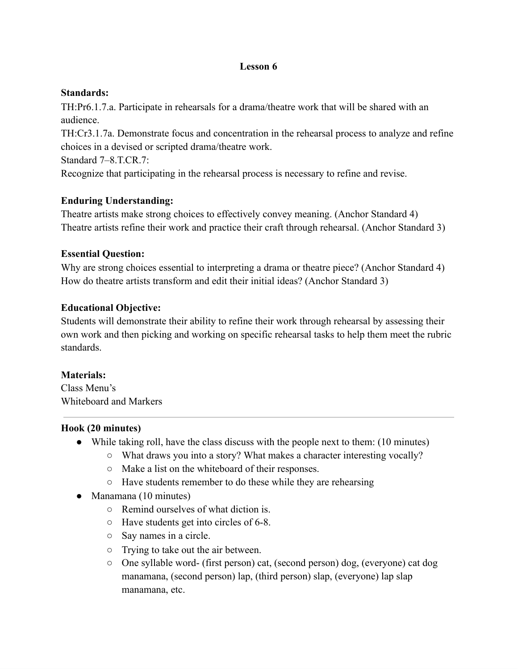#### **Standards:**

TH:Pr6.1.7.a. Participate in rehearsals for a drama/theatre work that will be shared with an audience.

TH:Cr3.1.7a. Demonstrate focus and concentration in the rehearsal process to analyze and refine choices in a devised or scripted drama/theatre work.

Standard 7–8.T.CR.7:

Recognize that participating in the rehearsal process is necessary to refine and revise.

## **Enduring Understanding:**

Theatre artists make strong choices to effectively convey meaning. (Anchor Standard 4) Theatre artists refine their work and practice their craft through rehearsal. (Anchor Standard 3)

#### **Essential Question:**

Why are strong choices essential to interpreting a drama or theatre piece? (Anchor Standard 4) How do theatre artists transform and edit their initial ideas? (Anchor Standard 3)

## **Educational Objective:**

Students will demonstrate their ability to refine their work through rehearsal by assessing their own work and then picking and working on specific rehearsal tasks to help them meet the rubric standards.

#### **Materials:**

Class Menu's Whiteboard and Markers

#### **Hook (20 minutes)**

- While taking roll, have the class discuss with the people next to them: (10 minutes)
	- What draws you into a story? What makes a character interesting vocally?
	- Make a list on the whiteboard of their responses.
	- Have students remember to do these while they are rehearsing
- Manamana (10 minutes)
	- Remind ourselves of what diction is.
	- Have students get into circles of 6-8.
	- Say names in a circle.
	- Trying to take out the air between.
	- One syllable word- (first person) cat, (second person) dog, (everyone) cat dog manamana, (second person) lap, (third person) slap, (everyone) lap slap manamana, etc.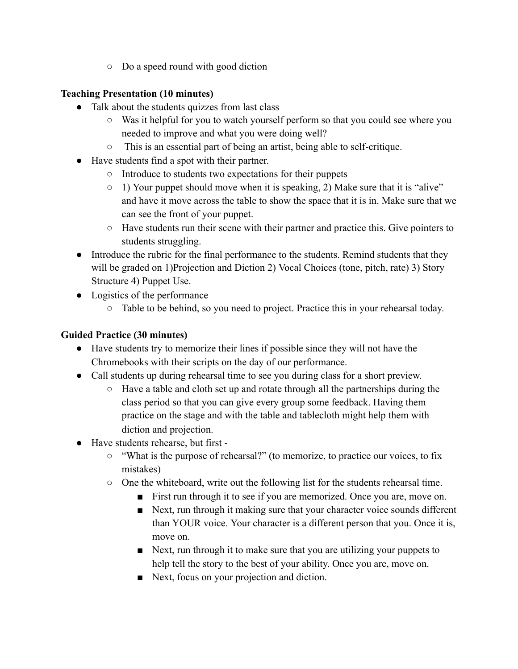○ Do a speed round with good diction

## **Teaching Presentation (10 minutes)**

- Talk about the students quizzes from last class
	- Was it helpful for you to watch yourself perform so that you could see where you needed to improve and what you were doing well?
	- This is an essential part of being an artist, being able to self-critique.
- Have students find a spot with their partner.
	- Introduce to students two expectations for their puppets
	- 1) Your puppet should move when it is speaking, 2) Make sure that it is "alive" and have it move across the table to show the space that it is in. Make sure that we can see the front of your puppet.
	- Have students run their scene with their partner and practice this. Give pointers to students struggling.
- Introduce the rubric for the final performance to the students. Remind students that they will be graded on 1)Projection and Diction 2) Vocal Choices (tone, pitch, rate) 3) Story Structure 4) Puppet Use.
- Logistics of the performance
	- Table to be behind, so you need to project. Practice this in your rehearsal today.

## **Guided Practice (30 minutes)**

- Have students try to memorize their lines if possible since they will not have the Chromebooks with their scripts on the day of our performance.
- Call students up during rehearsal time to see you during class for a short preview.
	- Have a table and cloth set up and rotate through all the partnerships during the class period so that you can give every group some feedback. Having them practice on the stage and with the table and tablecloth might help them with diction and projection.
- Have students rehearse, but first
	- "What is the purpose of rehearsal?" (to memorize, to practice our voices, to fix mistakes)
	- One the whiteboard, write out the following list for the students rehearsal time.
		- First run through it to see if you are memorized. Once you are, move on.
		- Next, run through it making sure that your character voice sounds different than YOUR voice. Your character is a different person that you. Once it is, move on.
		- Next, run through it to make sure that you are utilizing your puppets to help tell the story to the best of your ability. Once you are, move on.
		- Next, focus on your projection and diction.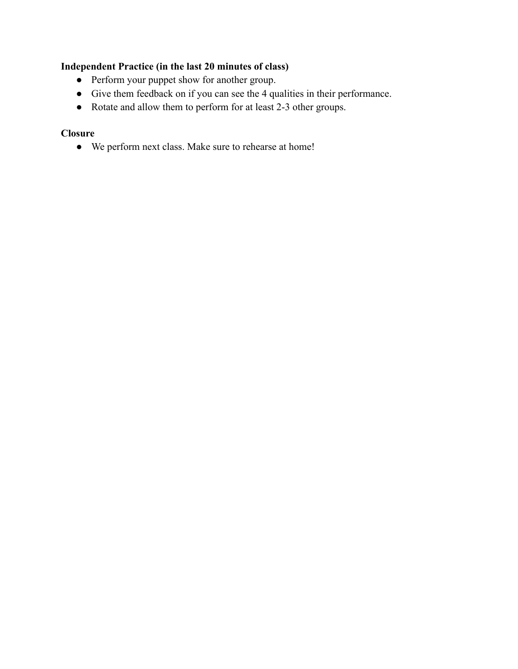## **Independent Practice (in the last 20 minutes of class)**

- Perform your puppet show for another group.
- Give them feedback on if you can see the 4 qualities in their performance.
- Rotate and allow them to perform for at least 2-3 other groups.

#### **Closure**

● We perform next class. Make sure to rehearse at home!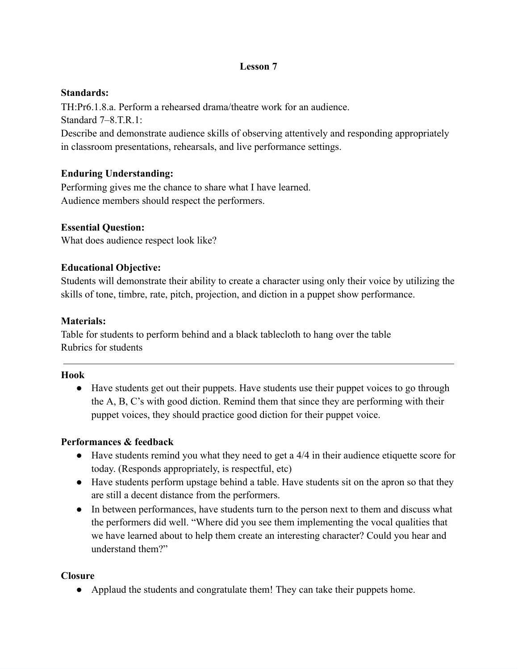#### **Standards:**

TH:Pr6.1.8.a. Perform a rehearsed drama/theatre work for an audience. Standard 7–8.T.R.1: Describe and demonstrate audience skills of observing attentively and responding appropriately in classroom presentations, rehearsals, and live performance settings.

## **Enduring Understanding:**

Performing gives me the chance to share what I have learned. Audience members should respect the performers.

## **Essential Question:**

What does audience respect look like?

## **Educational Objective:**

Students will demonstrate their ability to create a character using only their voice by utilizing the skills of tone, timbre, rate, pitch, projection, and diction in a puppet show performance.

## **Materials:**

Table for students to perform behind and a black tablecloth to hang over the table Rubrics for students

## **Hook**

● Have students get out their puppets. Have students use their puppet voices to go through the A, B, C's with good diction. Remind them that since they are performing with their puppet voices, they should practice good diction for their puppet voice.

## **Performances & feedback**

- Have students remind you what they need to get a 4/4 in their audience etiquette score for today. (Responds appropriately, is respectful, etc)
- Have students perform upstage behind a table. Have students sit on the apron so that they are still a decent distance from the performers.
- In between performances, have students turn to the person next to them and discuss what the performers did well. "Where did you see them implementing the vocal qualities that we have learned about to help them create an interesting character? Could you hear and understand them?"

#### **Closure**

● Applaud the students and congratulate them! They can take their puppets home.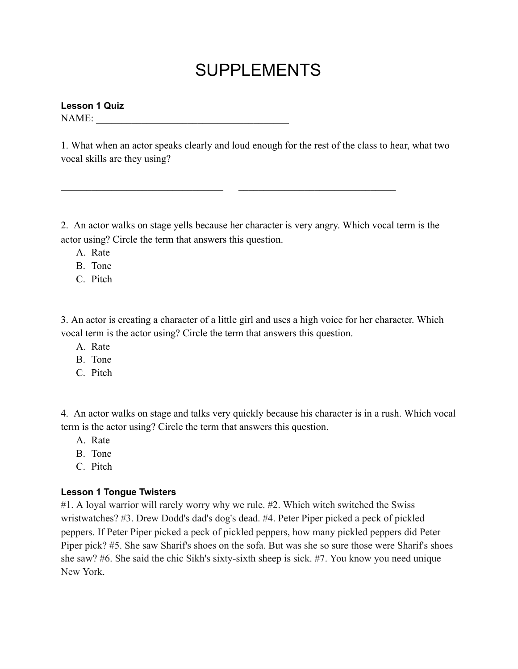## SUPPLEMENTS

## **Lesson 1 Quiz**

NAME:

1. What when an actor speaks clearly and loud enough for the rest of the class to hear, what two vocal skills are they using?

2. An actor walks on stage yells because her character is very angry. Which vocal term is the actor using? Circle the term that answers this question.

 $\mathcal{L}_\text{max}$  , and the contribution of the contribution of the contribution of the contribution of the contribution of the contribution of the contribution of the contribution of the contribution of the contribution of t

- A. Rate
- B. Tone
- C. Pitch

3. An actor is creating a character of a little girl and uses a high voice for her character. Which vocal term is the actor using? Circle the term that answers this question.

- A. Rate
- B. Tone
- C. Pitch

4. An actor walks on stage and talks very quickly because his character is in a rush. Which vocal term is the actor using? Circle the term that answers this question.

- A. Rate
- B. Tone
- C. Pitch

#### **Lesson 1 Tongue Twisters**

#1. A loyal warrior will rarely worry why we rule. #2. Which witch switched the Swiss wristwatches? #3. Drew Dodd's dad's dog's dead. #4. Peter Piper picked a peck of pickled peppers. If Peter Piper picked a peck of pickled peppers, how many pickled peppers did Peter Piper pick? #5. She saw Sharif's shoes on the sofa. But was she so sure those were Sharif's shoes she saw? #6. She said the chic Sikh's sixty-sixth sheep is sick. #7. You know you need unique New York.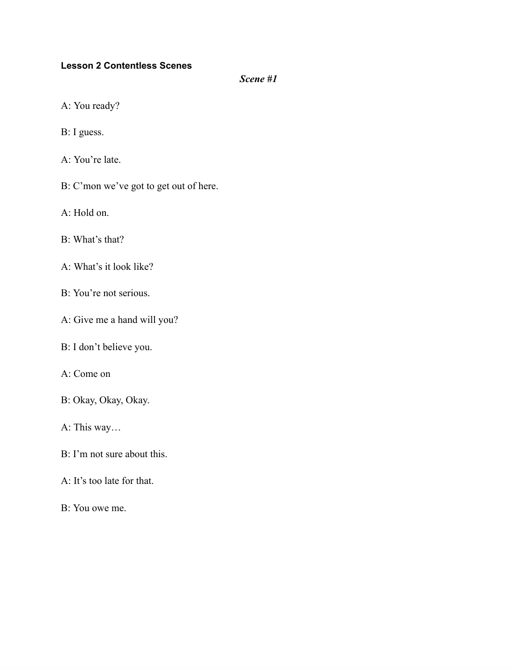#### **Lesson 2 Contentless Scenes**

*Scene #1* 

- A: You ready?
- B: I guess.
- A: You're late.
- B: C'mon we've got to get out of here.
- A: Hold on.
- B: What's that?
- A: What's it look like?
- B: You're not serious.
- A: Give me a hand will you?
- B: I don't believe you.
- A: Come on
- B: Okay, Okay, Okay.
- A: This way…
- B: I'm not sure about this.
- A: It's too late for that.
- B: You owe me.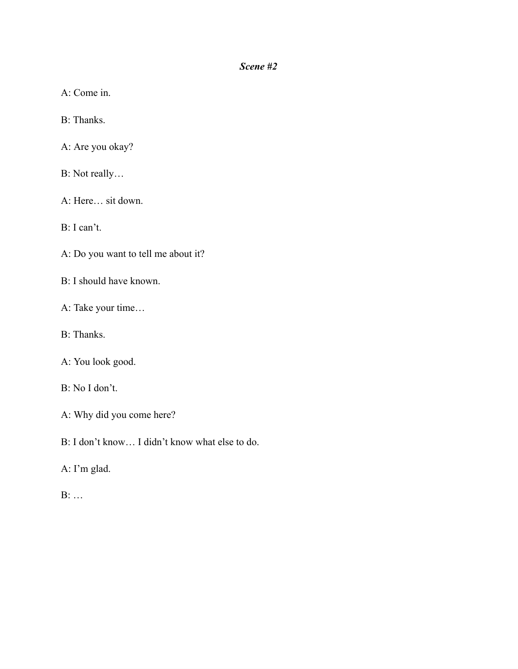## *Scene #2*

- A: Come in.
- B: Thanks.
- A: Are you okay?
- B: Not really…
- A: Here… sit down.
- B: I can't.
- A: Do you want to tell me about it?
- B: I should have known.
- A: Take your time…
- B: Thanks.
- A: You look good.
- B: No I don't.
- A: Why did you come here?
- B: I don't know… I didn't know what else to do.
- A: I'm glad.
- B: …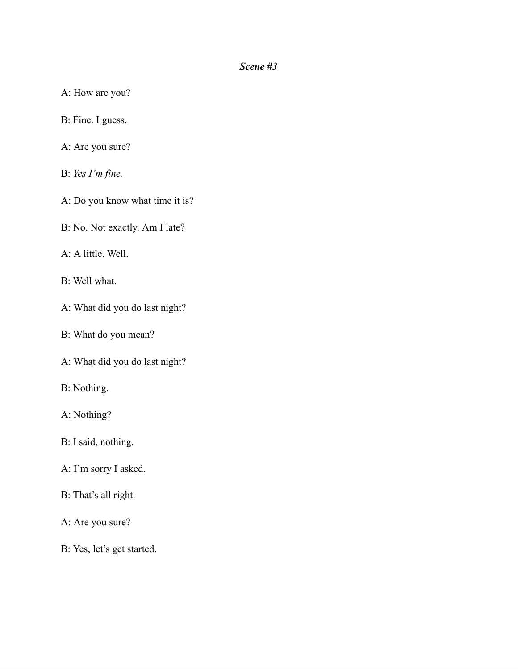## *Scene #3*

- A: How are you?
- B: Fine. I guess.
- A: Are you sure?
- B: *Yes I'm fine.*
- A: Do you know what time it is?
- B: No. Not exactly. Am I late?
- A: A little. Well.
- B: Well what.
- A: What did you do last night?
- B: What do you mean?
- A: What did you do last night?
- B: Nothing.
- A: Nothing?
- B: I said, nothing.
- A: I'm sorry I asked.
- B: That's all right.
- A: Are you sure?
- B: Yes, let's get started.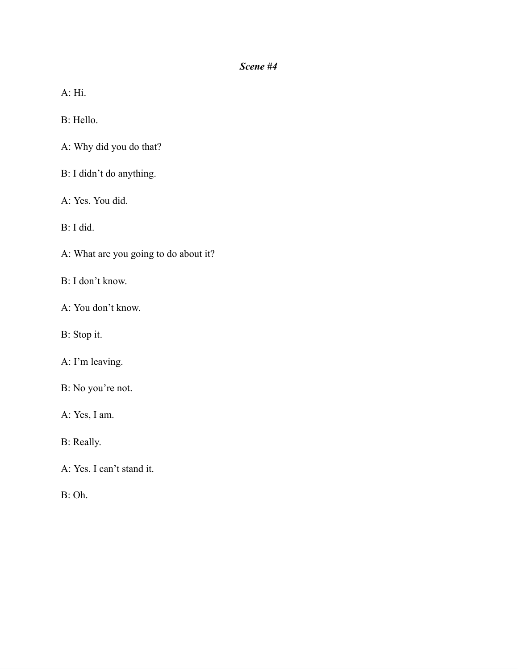## *Scene #4*

A: Hi.

B: Hello.

- A: Why did you do that?
- B: I didn't do anything.
- A: Yes. You did.

B: I did.

- A: What are you going to do about it?
- B: I don't know.
- A: You don't know.

B: Stop it.

- A: I'm leaving.
- B: No you're not.
- A: Yes, I am.
- B: Really.
- A: Yes. I can't stand it.
- B: Oh.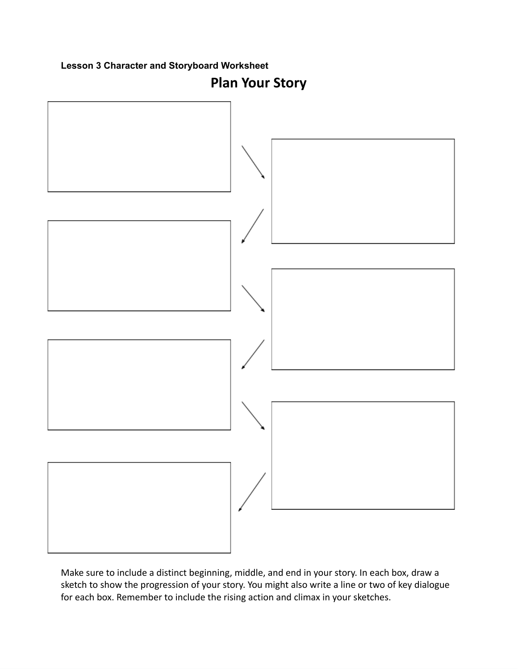## **Lesson 3 Character and Storyboard Worksheet**



Make sure to include a distinct beginning, middle, and end in your story. In each box, draw a sketch to show the progression of your story. You might also write a line or two of key dialogue for each box. Remember to include the rising action and climax in your sketches.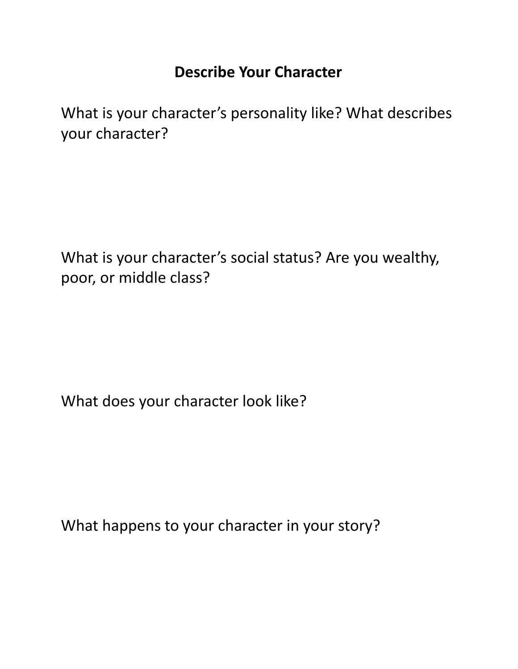## **Describe Your Character**

What is your character's personality like? What describes your character?

What is your character's social status? Are you wealthy, poor, or middle class?

What does your character look like?

What happens to your character in your story?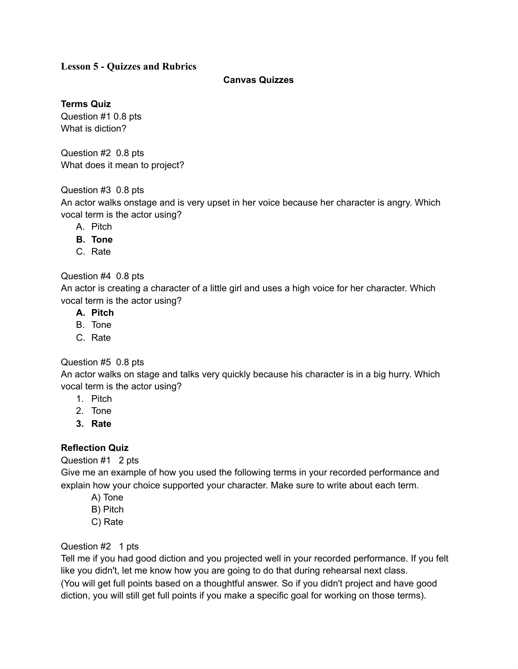#### **Lesson 5 - Quizzes and Rubrics**

#### **Canvas Quizzes**

#### **Terms Quiz**

Question #1 0.8 pts What is diction?

Question #2 0.8 pts What does it mean to project?

#### Question #3 0.8 pts

An actor walks onstage and is very upset in her voice because her character is angry. Which vocal term is the actor using?

- A. Pitch
- **B. Tone**
- C. Rate

#### Question #4 0.8 pts

An actor is creating a character of a little girl and uses a high voice for her character. Which vocal term is the actor using?

- **A. Pitch**
- B. Tone
- C. Rate

#### Question #5 0.8 pts

An actor walks on stage and talks very quickly because his character is in a big hurry. Which vocal term is the actor using?

- 1. Pitch
- 2. Tone
- **3. Rate**

#### **Reflection Quiz**

Question #1 2 pts

Give me an example of how you used the following terms in your recorded performance and explain how your choice supported your character. Make sure to write about each term.

- A) Tone
- B) Pitch
- C) Rate

Question #2 1 pts

Tell me if you had good diction and you projected well in your recorded performance. If you felt like you didn't, let me know how you are going to do that during rehearsal next class. (You will get full points based on a thoughtful answer. So if you didn't project and have good diction, you will still get full points if you make a specific goal for working on those terms).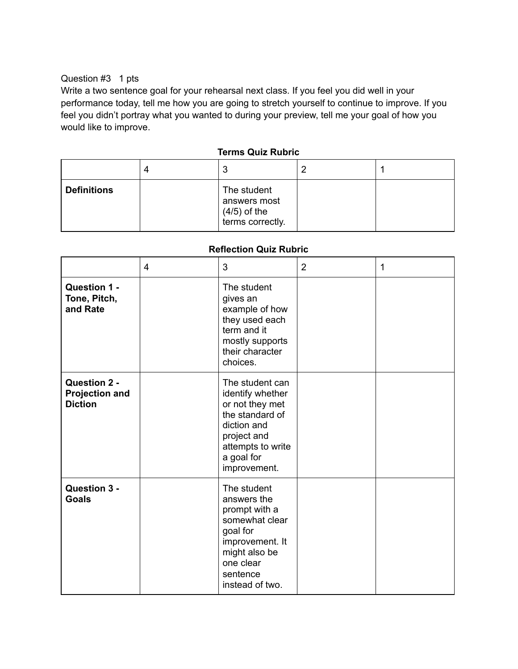#### Question #3 1 pts

Write a two sentence goal for your rehearsal next class. If you feel you did well in your performance today, tell me how you are going to stretch yourself to continue to improve. If you feel you didn't portray what you wanted to during your preview, tell me your goal of how you would like to improve.

|                    | 4 | w                                                                 |  |
|--------------------|---|-------------------------------------------------------------------|--|
| <b>Definitions</b> |   | The student<br>answers most<br>$(4/5)$ of the<br>terms correctly. |  |

**Terms Quiz Rubric**

| <b>Definitions</b> | The student<br>answers most<br>$(4/5)$ of the<br>terms correctly. |  |
|--------------------|-------------------------------------------------------------------|--|

| <b>Reflection Quiz Rubric</b>                                  |                |                                                                                                                                                            |                |   |  |
|----------------------------------------------------------------|----------------|------------------------------------------------------------------------------------------------------------------------------------------------------------|----------------|---|--|
|                                                                | $\overline{4}$ | 3                                                                                                                                                          | $\overline{2}$ | 1 |  |
| Question 1 -<br>Tone, Pitch,<br>and Rate                       |                | The student<br>gives an<br>example of how<br>they used each<br>term and it<br>mostly supports<br>their character<br>choices.                               |                |   |  |
| <b>Question 2 -</b><br><b>Projection and</b><br><b>Diction</b> |                | The student can<br>identify whether<br>or not they met<br>the standard of<br>diction and<br>project and<br>attempts to write<br>a goal for<br>improvement. |                |   |  |
| Question 3 -<br><b>Goals</b>                                   |                | The student<br>answers the<br>prompt with a<br>somewhat clear<br>goal for<br>improvement. It<br>might also be<br>one clear<br>sentence<br>instead of two.  |                |   |  |

#### **Reflection Quiz Rubric**